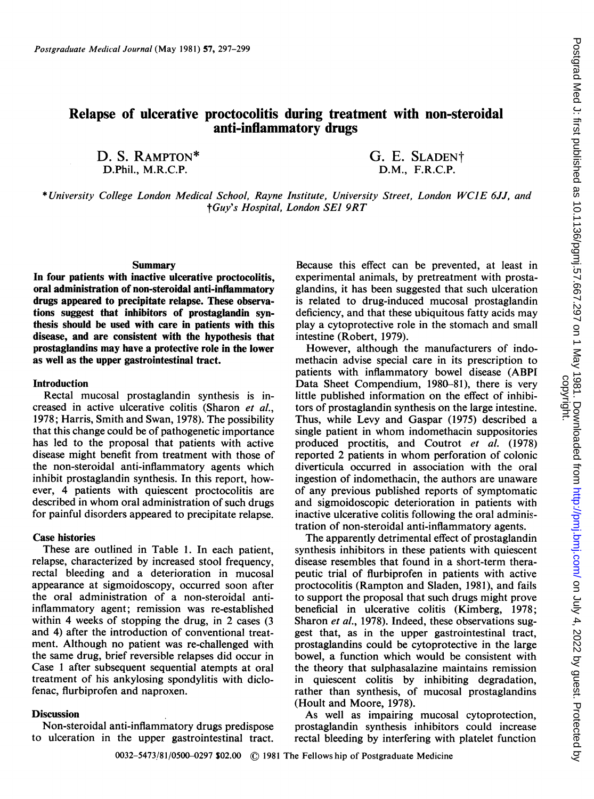# Relapse of ulcerative proctocolitis during treatment with non-steroidal anti-inflammatory drugs

D. S. RAMPTON\* D.Phil., M.R.C.P.

G. E. SLADENt D.M., F.R.C.P.

\*University College London Medical School, Rayne Institute, University Street, London WCIE 6JJ, and tGuy's Hospital, London SEI 9RT

## Summary

In four patients with inactive ulcerative proctocolitis, oral administration of non-steroidal anti-inflammatory drugs appeared to precipitate relapse. These observations suggest that inhibitors of prostaglandin synthesis should be used with care in patients with this disease, and are consistent with the hypothesis that prostaglandins may have a protective role in the lower as well as the upper gastrointestinal tract.

## Introduction

Rectal mucosal prostaglandin synthesis is increased in active ulcerative colitis (Sharon et al., 1978; Harris, Smith and Swan, 1978). The possibility that this change could be of pathogenetic importance has led to the proposal that patients with active disease might benefit from treatment with those of the non-steroidal anti-inflammatory agents which inhibit prostaglandin synthesis. In this report, however, 4 patients with quiescent proctocolitis are described in whom oral administration of such drugs for painful disorders appeared to precipitate relapse.

## Case histories

These are outlined in Table 1. In each patient, relapse, characterized by increased stool frequency, rectal bleeding and a deterioration in mucosal appearance at sigmoidoscopy, occurred soon after the oral administration of a non-steroidal antiinflammatory agent; remission was re-established within 4 weeks of stopping the drug, in 2 cases (3 and 4) after the introduction of conventional treatment. Although no patient was re-challenged with the same drug, brief reversible relapses did occur in Case <sup>1</sup> after subsequent sequential atempts at oral treatment of his ankylosing spondylitis with diclofenac, flurbiprofen and naproxen.

## **Discussion**

Non-steroidal anti-inflammatory drugs predispose to ulceration in the upper gastrointestinal tract.

Because this effect can be prevented, at least in experimental animals, by pretreatment with prostaglandins, it has been suggested that such ulceration is related to drug-induced mucosal prostaglandin deficiency, and that these ubiquitous fatty acids may play a cytoprotective role in the stomach and small intestine (Robert, 1979).

However, although the manufacturers of indomethacin advise special care in its prescription to patients with inflammatory bowel disease (ABPI Data Sheet Compendium, 1980-81), there is very little published information on the effect of inhibitors of prostaglandin synthesis on the large intestine. Thus, while Levy and Gaspar (1975) described a single patient in whom indomethacin suppositories produced proctitis, and Coutrot et al. (1978) reported <sup>2</sup> patients in whom perforation of colonic diverticula occurred in association with the oral ingestion of indomethacin, the authors are unaware of any previous published reports of symptomatic and sigmoidoscopic deterioration in patients with inactive ulcerative colitis following the oral administration of non-steroidal anti-inflammatory agents.

The apparently detrimental effect of prostaglandin synthesis inhibitors in these patients with quiescent disease resembles that found in a short-term therapeutic trial of flurbiprofen in patients with active proctocolitis (Rampton and Sladen, 1981), and fails to support the proposal that such drugs might prove beneficial in ulcerative colitis (Kimberg, 1978; Sharon et al., 1978). Indeed, these observations suggest that, as in the upper gastrointestinal tract, prostaglandins could be cytoprotective in the large bowel, a function which would be consistent with the theory that sulphasalazine maintains remission in quiescent colitis by inhibiting degradation, rather than synthesis, of mucosal prostaglandins (Hoult and Moore, 1978).

As well as impairing mucosal cytoprotection, prostaglandin synthesis inhibitors could increase rectal bleeding by interfering with platelet function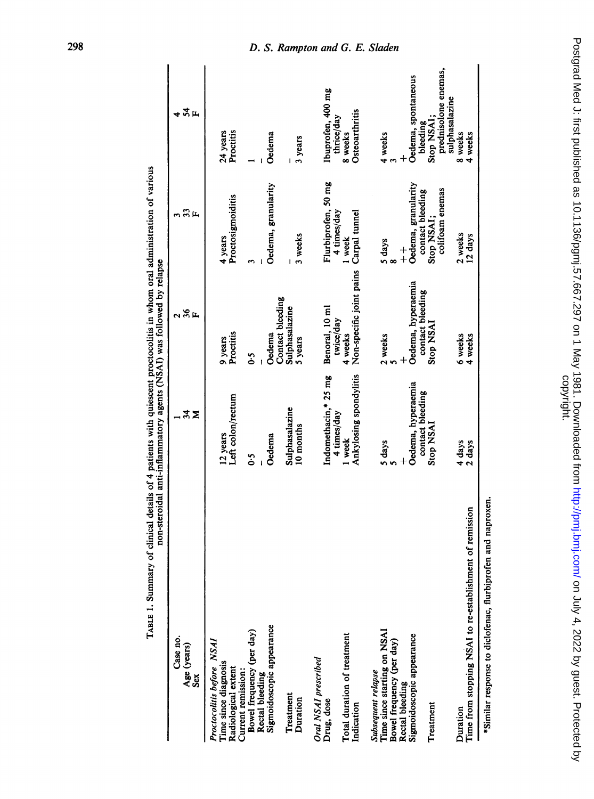| Case no.                                                                                          |                                               |                                                                |                                         |                                                                  |
|---------------------------------------------------------------------------------------------------|-----------------------------------------------|----------------------------------------------------------------|-----------------------------------------|------------------------------------------------------------------|
| Age (years)<br>Sex                                                                                | ੜ ¤                                           | ៷ៜឝ                                                            | $\frac{3}{2}$                           | йщ                                                               |
| Proctocolitis before NSA<br>Time since diagnosis<br>Radiological extent                           | Left colon/rectum<br>12 years                 | Proctitis<br>9 years                                           | Proctosigmoiditis<br>4 years            | 24 years<br>Proctitis                                            |
| Bowel frequency (per day)<br>Rectal bleeding<br>Current remission:                                | ه<br>څ                                        | ς.                                                             |                                         |                                                                  |
| Sigmoidoscopic appearance                                                                         | Oedema                                        | Oedema                                                         | Oedema, granularity                     | Oedema                                                           |
| Treatment<br>Duration                                                                             | Sulphasalazine<br>10 months                   | Contact bleeding<br>Sulphasalazine<br>5 years                  | 3 weeks                                 | 3 years                                                          |
| Oral NSAI prescribed<br>Drug, dose                                                                | Indomethacin,* 25 mg                          | Benoral, 10 ml                                                 | Flurbiprofen, 50 mg                     | Ibuprofen, 400 mg                                                |
| Total duration of treatment<br>Indication                                                         | Ankylosing spondylitis<br>4 times/day<br>week | Non-specific joint pains Carpal tunnel<br>twice/day<br>4 weeks | 4 times/day<br>week                     | Osteoarthritis<br>thrice/day<br>8 weeks                          |
| Time since starting on NSAI<br>Bowel frequency (per day)<br>Subsequent relapse<br>Rectal bleeding | 5 days                                        | 2 weeks                                                        | 5 days<br>$+$                           | 4 weeks                                                          |
| Sigmoidoscopic appearance                                                                         | Oedema, hyperaemia<br>contact bleeding        | Oedema, hyperaemia<br>contact bleeding                         | Oedema, granularity<br>contact bleeding | Oedema, spontaneous                                              |
| Treatment                                                                                         | Stop NSAI                                     | Stop NSAI                                                      | colifoam enemas<br>Stop NSAI;           | prednisolone enemas,<br>sulphasalazine<br>bleeding<br>Stop NSAI; |
| Time from stopping NSAI to re-establishment of remission<br>Duration                              | 4 days<br>2 days                              | 6 weeks<br>4 weeks                                             | 2 weeks<br>12 days                      | 8 weeks<br>4 weeks                                               |
| *Similar reconce to dicloped fluchimates and papproven                                            |                                               |                                                                |                                         |                                                                  |

TABLE 1. Summary of clinical details of 4 patients with quiescent proctocolitis in whom oral administration of various non-steroidal anti-inflammatory agents (NSAI) was followed by relapse

UACI1. 5 휼 3 3 ž **DANSI** sımılar

Postgrad Med J: first published as 10.1136/pgmj.57.667.297 on 1 May 1981. Downloaded from http://pmj.bmj.com/ on July 4, 2022 by guest. Protected by<br>copyright.